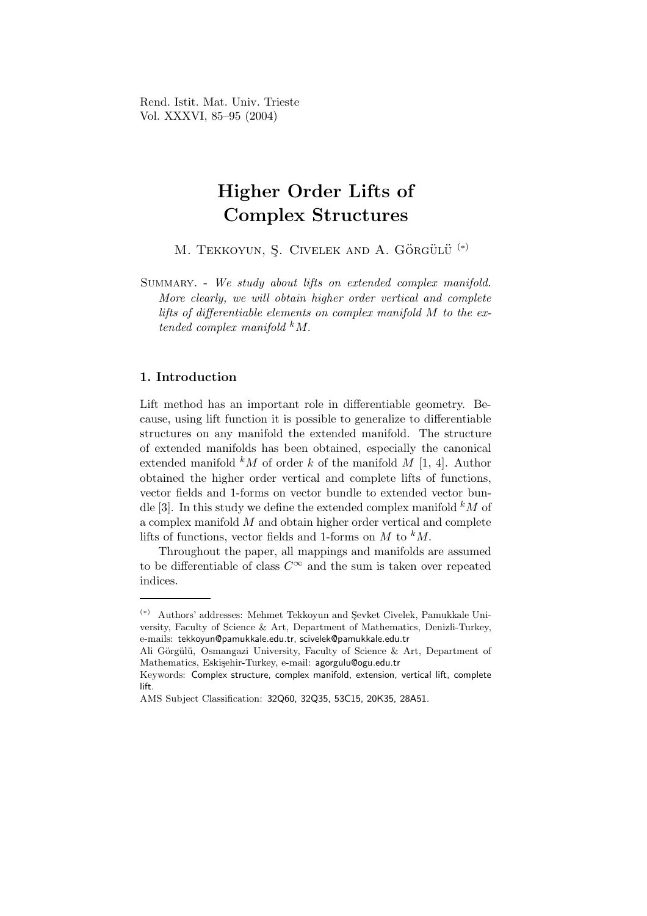Rend. Istit. Mat. Univ. Trieste Vol. XXXVI, 85–95 (2004)

# Higher Order Lifts of Complex Structures

M. TEKKOYUN, Ş. CIVELEK AND A. GÖRGÜLÜ<sup>(\*)</sup>

SUMMARY. - We study about lifts on extended complex manifold. More clearly, we will obtain higher order vertical and complete lifts of differentiable elements on complex manifold M to the extended complex manifold  $kM$ .

## 1. Introduction

Lift method has an important role in differentiable geometry. Because, using lift function it is possible to generalize to differentiable structures on any manifold the extended manifold. The structure of extended manifolds has been obtained, especially the canonical extended manifold  $kM$  of order k of the manifold M [1, 4]. Author obtained the higher order vertical and complete lifts of functions, vector fields and 1-forms on vector bundle to extended vector bundle [3]. In this study we define the extended complex manifold  $^kM$  of a complex manifold M and obtain higher order vertical and complete lifts of functions, vector fields and 1-forms on  $M$  to  $kM$ .

Throughout the paper, all mappings and manifolds are assumed to be differentiable of class  $C^{\infty}$  and the sum is taken over repeated indices.

<sup>(\*)</sup> Authors' addresses: Mehmet Tekkoyun and Sevket Civelek, Pamukkale University, Faculty of Science & Art, Department of Mathematics, Denizli-Turkey, e-mails: tekkoyun@pamukkale.edu.tr, scivelek@pamukkale.edu.tr

Ali Görgülü, Osmangazi University, Faculty of Science & Art, Department of Mathematics, Eskişehir-Turkey, e-mail: agorgulu@ogu.edu.tr

Keywords: Complex structure, complex manifold, extension, vertical lift, complete lift.

AMS Subject Classification: 32Q60, 32Q35, 53C15, 20K35, 28A51.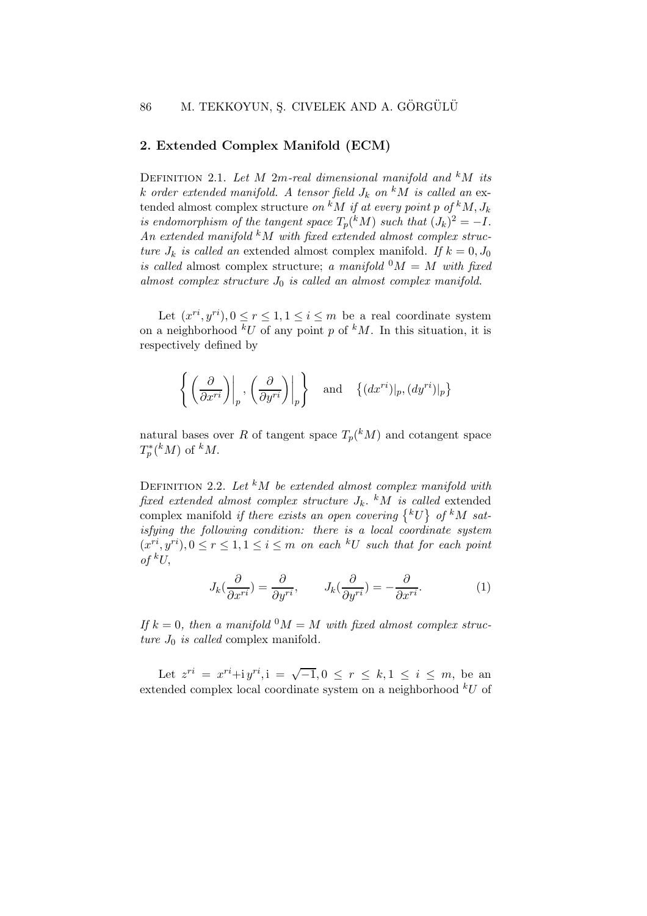## 2. Extended Complex Manifold (ECM)

DEFINITION 2.1. Let M 2m-real dimensional manifold and  $kM$  its k order extended manifold. A tensor field  $J_k$  on  $^kM$  is called an extended almost complex structure on <sup>k</sup>M if at every point p of <sup>k</sup>M,  $J_k$ is endomorphism of the tangent space  $T_p({}^k M)$  such that  $(J_k)^2 = -I$ . An extended manifold  $k$ M with fixed extended almost complex structure  $J_k$  is called an extended almost complex manifold. If  $k = 0, J_0$ is called almost complex structure; a manifold  ${}^0M = M$  with fixed almost complex structure  $J_0$  is called an almost complex manifold.

Let  $(x^{ri}, y^{ri}), 0 \le r \le 1, 1 \le i \le m$  be a real coordinate system on a neighborhood  ${}^kU$  of any point p of  ${}^kM$ . In this situation, it is respectively defined by

$$
\left\{ \left. \left( \frac{\partial}{\partial x^{ri}} \right) \right|_{p}, \left. \left( \frac{\partial}{\partial y^{ri}} \right) \right|_{p} \right\} \quad \text{and} \quad \left\{ (dx^{ri}) \right|_{p}, (dy^{ri}) \right|_{p} \}
$$

natural bases over R of tangent space  $T_p({}^k M)$  and cotangent space  $T_p^*$  $p^*(^k M)$  of  $^k M$ .

DEFINITION 2.2. Let  $kM$  be extended almost complex manifold with fixed extended almost complex structure  $J_k$ . <sup>k</sup>M is called extended complex manifold if there exists an open covering  $\{^kU\}$  of  $^kM$  satisfying the following condition: there is a local coordinate system  $(x^{ri}, y^{ri}), 0 \le r \le 1, 1 \le i \le m$  on each  $^kU$  such that for each point of  ${}^kU$ ,

$$
J_k(\frac{\partial}{\partial x^{ri}}) = \frac{\partial}{\partial y^{ri}}, \qquad J_k(\frac{\partial}{\partial y^{ri}}) = -\frac{\partial}{\partial x^{ri}}.
$$
 (1)

If  $k = 0$ , then a manifold  $^0M = M$  with fixed almost complex structure  $J_0$  is called complex manifold.

Let  $z^{ri} = x^{ri} + i y^{ri}, i = \sqrt{-1}, 0 \le r \le k, 1 \le i \le m$ , be an extended complex local coordinate system on a neighborhood  $kU$  of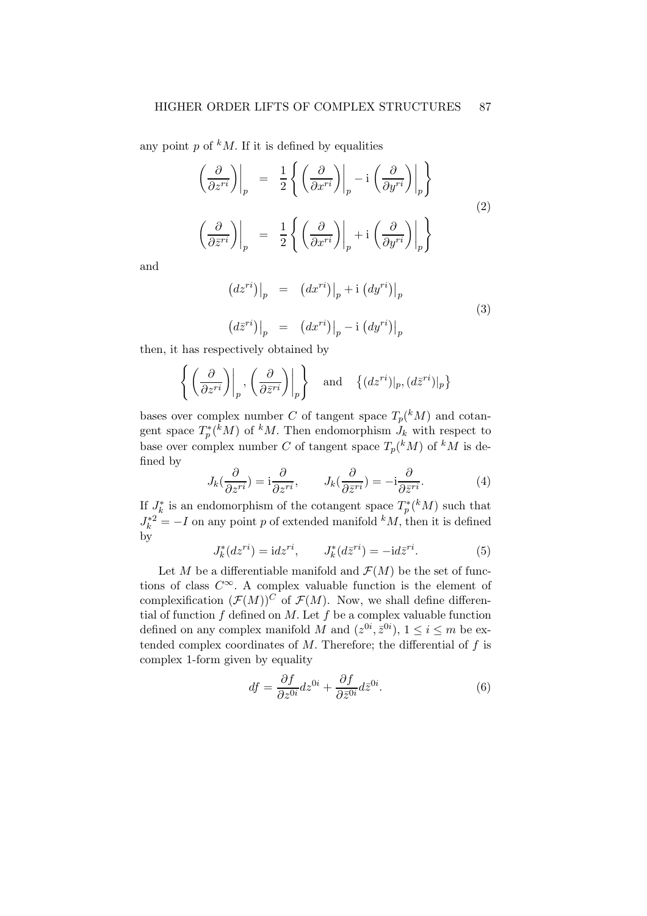any point p of  $k$ M. If it is defined by equalities

$$
\left(\frac{\partial}{\partial z^{ri}}\right)\Big|_{p} = \frac{1}{2} \left\{ \left(\frac{\partial}{\partial x^{ri}}\right)\Big|_{p} - i \left(\frac{\partial}{\partial y^{ri}}\right)\Big|_{p} \right\}
$$
\n
$$
\left(\frac{\partial}{\partial \bar{z}^{ri}}\right)\Big|_{p} = \frac{1}{2} \left\{ \left(\frac{\partial}{\partial x^{ri}}\right)\Big|_{p} + i \left(\frac{\partial}{\partial y^{ri}}\right)\Big|_{p} \right\}
$$
\n(2)

and

$$
(dz^{ri})|_p = (dx^{ri})|_p + i (dy^{ri})|_p
$$
  

$$
(d\bar{z}^{ri})|_p = (dx^{ri})|_p - i (dy^{ri})|_p
$$
 (3)

then, it has respectively obtained by

$$
\left\{ \left. \left( \frac{\partial}{\partial z^{ri}} \right) \right|_p, \left. \left( \frac{\partial}{\partial \bar{z}^{ri}} \right) \right|_p \right\} \quad \text{and} \quad \left\{ (dz^{ri}) \right|_p, (d\bar{z}^{ri}) \right|_p \}
$$

bases over complex number C of tangent space  $T_p({}^k M)$  and cotangent space  $T_n^*$  $p^*(kM)$  of  $kM$ . Then endomorphism  $J_k$  with respect to base over complex number C of tangent space  $T_p({}^k M)$  of  ${}^k M$  is defined by

$$
J_k(\frac{\partial}{\partial z^{ri}}) = \mathbf{i}\frac{\partial}{\partial z^{ri}}, \qquad J_k(\frac{\partial}{\partial \bar{z}^{ri}}) = -\mathbf{i}\frac{\partial}{\partial \bar{z}^{ri}}.
$$
 (4)

If  $J_k^*$  $\tilde{k}$  is an endomorphism of the cotangent space  $T_p^*$  $p^*(k)$  such that  $J_k^{*2} = -I$  on any point p of extended manifold  $^kM$ , then it is defined by

$$
J_k^*(dz^{ri}) = idz^{ri}, \qquad J_k^*(d\bar{z}^{ri}) = -id\bar{z}^{ri}.
$$
 (5)

Let M be a differentiable manifold and  $\mathcal{F}(M)$  be the set of functions of class  $C^{\infty}$ . A complex valuable function is the element of complexification  $(\mathcal{F}(M))^C$  of  $\mathcal{F}(M)$ . Now, we shall define differential of function  $f$  defined on  $M$ . Let  $f$  be a complex valuable function defined on any complex manifold M and  $(z^{0i}, \bar{z}^{0i}), 1 \le i \le m$  be extended complex coordinates of  $M$ . Therefore; the differential of  $f$  is complex 1-form given by equality

$$
df = \frac{\partial f}{\partial z^{0i}} dz^{0i} + \frac{\partial f}{\partial \bar{z}^{0i}} d\bar{z}^{0i}.
$$
 (6)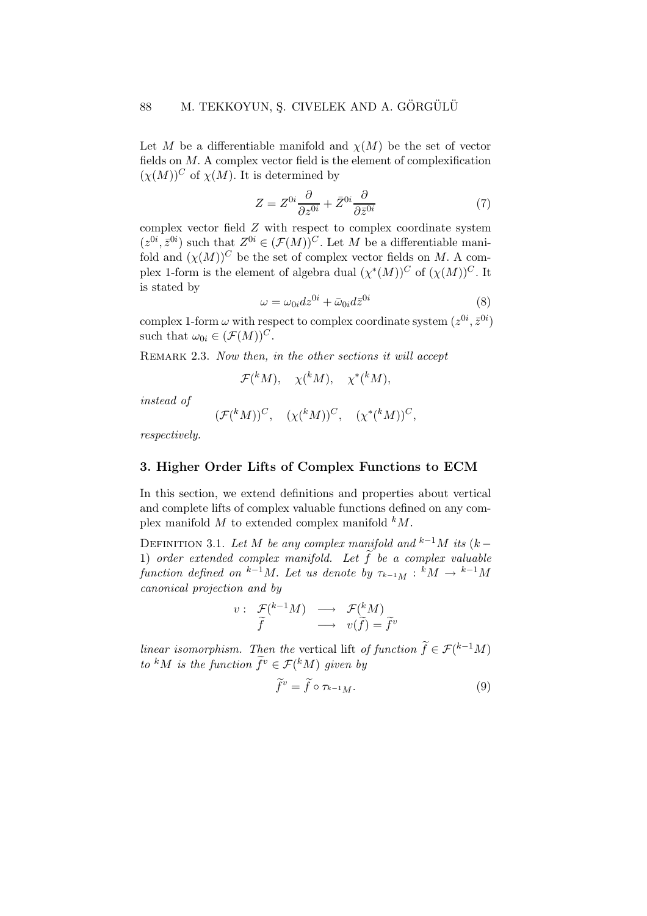Let M be a differentiable manifold and  $\chi(M)$  be the set of vector fields on M. A complex vector field is the element of complexification  $(\chi(M))^C$  of  $\chi(M)$ . It is determined by

$$
Z = Z^{0i} \frac{\partial}{\partial z^{0i}} + \bar{Z}^{0i} \frac{\partial}{\partial \bar{z}^{0i}} \tag{7}
$$

complex vector field Z with respect to complex coordinate system  $(z^{0i}, \bar{z}^{0i})$  such that  $Z^{0i} \in (\mathcal{F}(M))^{C}$ . Let M be a differentiable manifold and  $(\chi(M))^C$  be the set of complex vector fields on M. A complex 1-form is the element of algebra dual  $(\chi^*(M))^C$  of  $(\chi(M))^C$ . It is stated by

$$
\omega = \omega_{0i} dz^{0i} + \bar{\omega}_{0i} d\bar{z}^{0i} \tag{8}
$$

complex 1-form  $\omega$  with respect to complex coordinate system  $(z^{0i}, \bar{z}^{0i})$ such that  $\omega_{0i} \in (\mathcal{F}(M))^C$ .

REMARK 2.3. Now then, in the other sections it will accept

$$
\mathcal{F}(^kM), \quad \chi(^kM), \quad \chi^*(^kM),
$$

instead of

$$
(\mathcal{F}({}^k M))^C, \quad (\chi({}^k M))^C, \quad (\chi^*({}^k M))^C,
$$

respectively.

## 3. Higher Order Lifts of Complex Functions to ECM

In this section, we extend definitions and properties about vertical and complete lifts of complex valuable functions defined on any complex manifold  $M$  to extended complex manifold  $kM$ .

DEFINITION 3.1. Let M be any complex manifold and  $k^{-1}M$  its  $(k-$ 1) order extended complex manifold. Let  $\tilde{f}$  be a complex valuable function defined on  $k-\overline{1}M$ . Let us denote by  $\tau_{k-1}M : \overline{k}M \to k-1M$ canonical projection and by

$$
v: \begin{array}{ccc} \mathcal{F}({}^{k-1}M) & \longrightarrow & \mathcal{F}({}^{k}M) \\ \widetilde{f} & \longrightarrow & v(\widetilde{f})=\widetilde{f}^{v} \end{array}
$$

linear isomorphism. Then the vertical lift of function  $\widetilde{f} \in \mathcal{F}(k-1)$ to <sup>k</sup>M is the function  $\tilde{f}^v \in \mathcal{F}({}^k M)$  given by

$$
\widetilde{f}^v = \widetilde{f} \circ \tau_{k-1}.
$$
\n(9)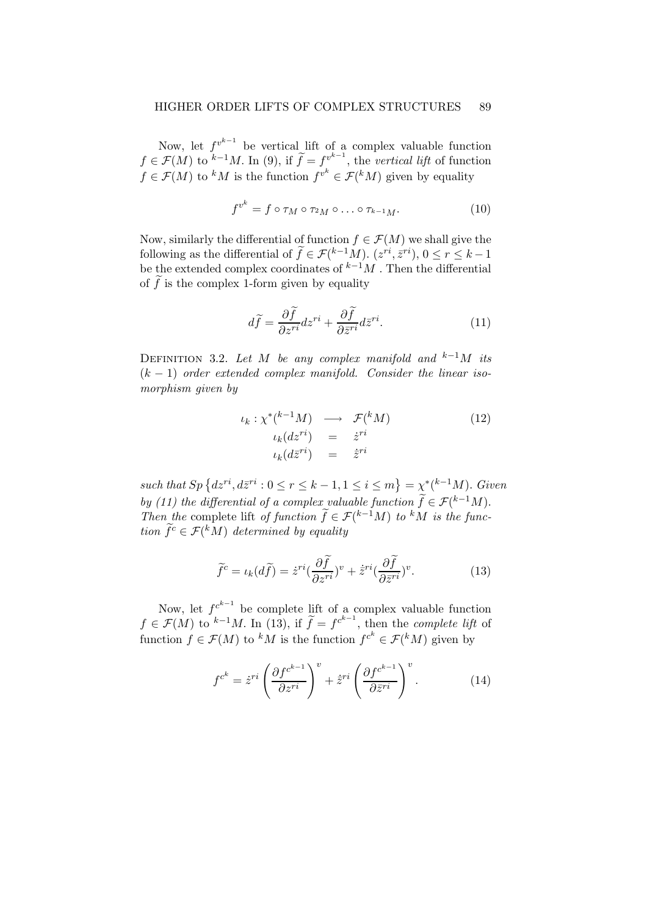#### HIGHER ORDER LIFTS OF COMPLEX STRUCTURES 89

Now, let  $f^{v^{k-1}}$  be vertical lift of a complex valuable function  $f \in \mathcal{F}(M)$  to  $k-1 \le M$ . In (9), if  $\widetilde{f} = f_{k-1}^{v^{k-1}}$ , the vertical lift of function  $f \in \mathcal{F}(M)$  to <sup>k</sup>M is the function  $f^{v^k} \in \mathcal{F}(kM)$  given by equality

$$
f^{v^k} = f \circ \tau_M \circ \tau_{^2M} \circ \ldots \circ \tau_{^{k-1}M}.\tag{10}
$$

Now, similarly the differential of function  $f \in \mathcal{F}(M)$  we shall give the following as the differential of  $\widetilde{f} \in \mathcal{F}(k-1,M)$ .  $(z^{ri}, \overline{z}^{ri}), 0 \le r \le k-1$ be the extended complex coordinates of  $k^{-1}M$ . Then the differential of  $\tilde{f}$  is the complex 1-form given by equality

$$
d\tilde{f} = \frac{\partial \tilde{f}}{\partial z^{ri}} dz^{ri} + \frac{\partial \tilde{f}}{\partial \bar{z}^{ri}} dz^{ri}.
$$
 (11)

DEFINITION 3.2. Let M be any complex manifold and  $k-1$ M its  $(k-1)$  order extended complex manifold. Consider the linear isomorphism given by

$$
\iota_k : \chi^*(^{k-1}M) \longrightarrow \mathcal{F}(^kM) \tag{12}
$$
\n
$$
\iota_k(d\bar{z}^{ri}) = \dot{z}^{ri}
$$
\n
$$
\iota_k(d\bar{z}^{ri}) = \dot{\bar{z}}^{ri}
$$

such that  $Sp\left\{dz^{ri}, d\bar{z}^{ri}: 0 \leq r \leq k-1, 1 \leq i \leq m\right\} = \chi^*(k-1)$ . Given by (11) the differential of a complex valuable function  $\widetilde{f} \in \mathcal{F}^{(k-1)}M$ . Then the complete lift of function  $\widetilde{f} \in \mathcal{F}^{(k-1)}M$  to kM is the function  $\tilde{f}^c \in \mathcal{F}({}^k M)$  determined by equality

$$
\widetilde{f}^c = \iota_k(d\widetilde{f}) = \dot{z}^{ri} \left(\frac{\partial \widetilde{f}}{\partial z^{ri}}\right)^v + \dot{\bar{z}}^{ri} \left(\frac{\partial \widetilde{f}}{\partial \bar{z}^{ri}}\right)^v. \tag{13}
$$

Now, let  $f^{c^{k-1}}$  be complete lift of a complex valuable function  $f \in \mathcal{F}(M)$  to  $k-1M$ . In (13), if  $\widetilde{f} = f^{c^{k-1}}$ , then the *complete lift* of function  $f \in \mathcal{F}(M)$  to <sup>k</sup>M is the function  $f^{c^k} \in \mathcal{F}(kM)$  given by

$$
f^{c^k} = \dot{z}^{ri} \left( \frac{\partial f^{c^{k-1}}}{\partial z^{ri}} \right)^v + \dot{\bar{z}}^{ri} \left( \frac{\partial f^{c^{k-1}}}{\partial \bar{z}^{ri}} \right)^v.
$$
 (14)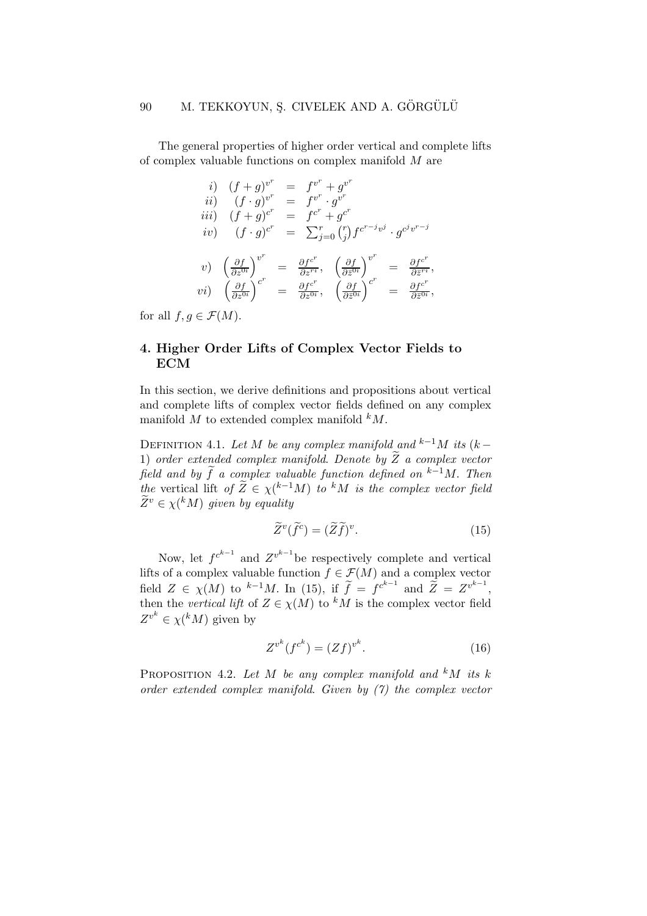The general properties of higher order vertical and complete lifts of complex valuable functions on complex manifold M are

$$
i) (f+g)^{v^r} = f^{v^r} + g^{v^r}
$$
  
\n
$$
ii) (f \cdot g)^{v^r} = f^{v^r} \cdot g^{v^r}
$$
  
\n
$$
iii) (f+g)^{c^r} = f^{c^r} + g^{c^r}
$$
  
\n
$$
iv) (f \cdot g)^{c^r} = \sum_{j=0}^r {r \choose j} f^{c^{r-j}v^j} \cdot g^{c^jv^{r-j}}
$$
  
\n
$$
v) \left(\frac{\partial f}{\partial z^{0i}}\right)^{v^r} = \frac{\partial f^{c^r}}{\partial z^{r_i}}, \left(\frac{\partial f}{\partial \overline{z}^{0i}}\right)^{v^r} = \frac{\partial f^{c^r}}{\partial z^{r_i}},
$$
  
\n
$$
vi) \left(\frac{\partial f}{\partial z^{0i}}\right)^{c^r} = \frac{\partial f^{c^r}}{\partial z^{0i}}, \left(\frac{\partial f}{\partial \overline{z}^{0i}}\right)^{c^r} = \frac{\partial f^{c^r}}{\partial \overline{z}^{0i}},
$$

for all  $f, g \in \mathcal{F}(M)$ .

## 4. Higher Order Lifts of Complex Vector Fields to ECM

In this section, we derive definitions and propositions about vertical and complete lifts of complex vector fields defined on any complex manifold M to extended complex manifold  $kM$ .

DEFINITION 4.1. Let M be any complex manifold and  $k^{-1}M$  its  $(k-$ 1) order extended complex manifold. Denote by  $\widetilde{Z}$  a complex vector field and by  $\tilde{f}$  a complex valuable function defined on  $k-1$ M. Then the vertical lift of  $\widetilde{Z} \in \chi^{(k-1)}M$  to kM is the complex vector field  $\widetilde{Z}^v \in \chi({}^k M)$  given by equality

$$
\widetilde{Z}^v(\widetilde{f}^c) = (\widetilde{Z}\widetilde{f})^v. \tag{15}
$$

Now, let  $f^{c^{k-1}}$  and  $Z^{v^{k-1}}$  be respectively complete and vertical lifts of a complex valuable function  $f \in \mathcal{F}(M)$  and a complex vector field  $Z \in \chi(M)$  to  $^{k-1}M$ . In (15), if  $\widetilde{f} = f^{c^{k-1}}$  and  $\widetilde{Z} = Z^{v^{k-1}}$ , then the vertical lift of  $Z \in \chi(M)$  to <sup>k</sup>M is the complex vector field  $Z^{v^k} \in \chi({}^k M)$  given by

$$
Z^{v^k}(f^{c^k}) = (Zf)^{v^k}.
$$
 (16)

PROPOSITION 4.2. Let M be any complex manifold and  $kM$  its k order extended complex manifold. Given by (7) the complex vector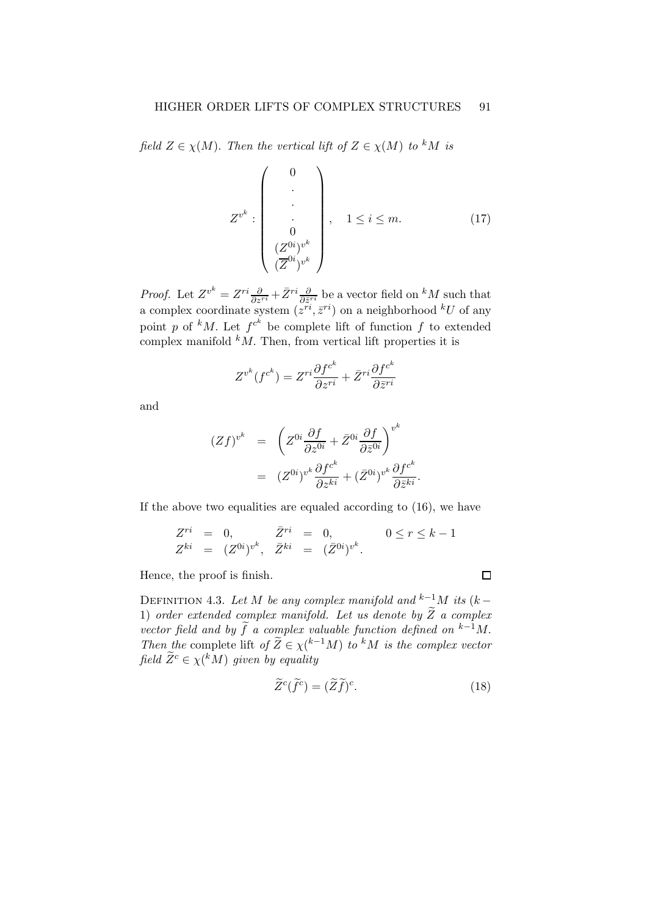field  $Z \in \chi(M)$ . Then the vertical lift of  $Z \in \chi(M)$  to <sup>k</sup>M is

$$
Z^{v^k} : \begin{pmatrix} 0 \\ \cdot \\ \cdot \\ 0 \\ (Z^{0i})^{v^k} \\ (Z^{0i})^{v^k} \end{pmatrix}, \quad 1 \le i \le m. \tag{17}
$$

*Proof.* Let  $Z^{v^k} = Z^{ri} \frac{\partial}{\partial z^{ri}} + \bar{Z}^{ri} \frac{\partial}{\partial \bar{z}^{ri}}$  be a vector field on  $^k M$  such that a complex coordinate system  $(z^{ri}, \bar{z}^{ri})$  on a neighborhood  $^kU$  of any point p of <sup>k</sup>M. Let  $f^{c^k}$  be complete lift of function f to extended complex manifold  $k$ *M*. Then, from vertical lift properties it is

$$
Z^{v^k}(f^{c^k}) = Z^{ri} \frac{\partial f^{c^k}}{\partial z^{ri}} + \bar{Z}^{ri} \frac{\partial f^{c^k}}{\partial \bar{z}^{ri}}
$$

and

$$
(Zf)^{v^k} = \left(Z^{0i}\frac{\partial f}{\partial z^{0i}} + \bar{Z}^{0i}\frac{\partial f}{\partial \bar{z}^{0i}}\right)^{v^k}
$$

$$
= (Z^{0i})^{v^k}\frac{\partial f^{c^k}}{\partial z^{ki}} + (\bar{Z}^{0i})^{v^k}\frac{\partial f^{c^k}}{\partial \bar{z}^{ki}}.
$$

If the above two equalities are equaled according to (16), we have

$$
Z^{ri} = 0, \t \bar{Z}^{ri} = 0, \t 0 \le r \le k - 1
$$
  
\n
$$
Z^{ki} = (Z^{0i})^{v^k}, \t \bar{Z}^{ki} = (\bar{Z}^{0i})^{v^k}.
$$

Hence, the proof is finish.

DEFINITION 4.3. Let M be any complex manifold and <sup>k−1</sup>M its (k – 1) order extended complex manifold. Let us denote by  $\widetilde{Z}$  a complex vector field and by  $\tilde{f}$  a complex valuable function defined on  $k-1$ M. Then the complete lift of  $\widetilde{Z} \in \chi^{(k-1)}M$  to kM is the complex vector field  $\widetilde{Z}^c \in \chi({}^k M)$  given by equality

$$
\widetilde{Z}^c(\widetilde{f}^c) = (\widetilde{Z}\widetilde{f})^c. \tag{18}
$$

 $\Box$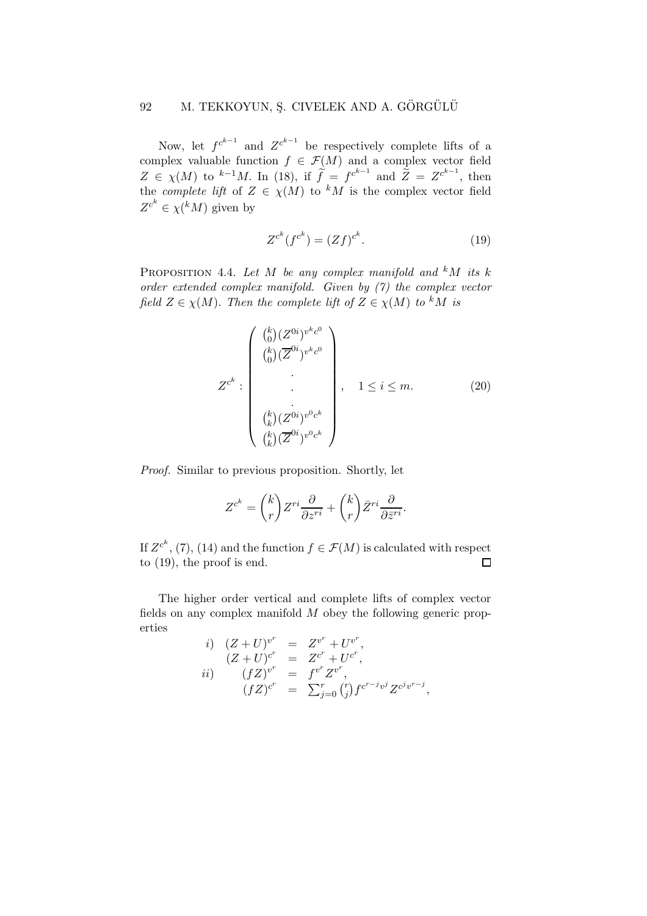# 92 M. TEKKOYUN, Ş. CIVELEK AND A. GÖRGÜLÜ

Now, let  $f^{c^{k-1}}$  and  $Z^{c^{k-1}}$  be respectively complete lifts of a complex valuable function  $f \in \mathcal{F}(M)$  and a complex vector field  $Z \in \chi(M)$  to <sup>k-1</sup>M. In (18), if  $\tilde{f} = f^{c^{k-1}}$  and  $\tilde{Z} = Z^{c^{k-1}}$ , then the *complete lift* of  $Z \in \chi(M)$  to <sup>k</sup>M is the complex vector field  $Z^{c^k} \in \chi({}^k M)$  given by

$$
Z^{c^k}(f^{c^k}) = (Zf)^{c^k}.
$$
 (19)

PROPOSITION 4.4. Let M be any complex manifold and  $kM$  its k order extended complex manifold. Given by (7) the complex vector field  $Z \in \chi(M)$ . Then the complete lift of  $Z \in \chi(M)$  to <sup>k</sup>M is

$$
Z^{c^{k}}: \begin{pmatrix} {k \choose 0} (Z^{0i})^{v^{k}c^{0}} \\ {k \choose 0} (\overline{Z}^{0i})^{v^{k}c^{0}} \\ \vdots \\ {k \choose k} (Z^{0i})^{v^{0}c^{k}} \\ {k \choose k} (\overline{Z}^{0i})^{v^{0}c^{k}} \end{pmatrix}, \quad 1 \leq i \leq m. \tag{20}
$$

Proof. Similar to previous proposition. Shortly, let

$$
Z^{c^k} = {k \choose r} Z^{ri} \frac{\partial}{\partial z^{ri}} + {k \choose r} \bar{Z}^{ri} \frac{\partial}{\partial \bar{z}^{ri}}.
$$

If  $Z^{c^k}$ , (7), (14) and the function  $f \in \mathcal{F}(M)$  is calculated with respect to (19), the proof is end.

The higher order vertical and complete lifts of complex vector fields on any complex manifold  $M$  obey the following generic properties

*i*) 
$$
(Z + U)^{v^r} = Z^{v^r} + U^{v^r}
$$
,  
\n $(Z + U)^{c^r} = Z^{c^r} + U^{c^r}$ ,  
\n*ii*)  $(fZ)^{v^r} = f^{v^r} Z^{v^r}$ ,  
\n $(fZ)^{c^r} = \sum_{j=0}^r {r \choose j} f^{c^{r-j}v^j} Z^{c^j v^{r-j}}$ ,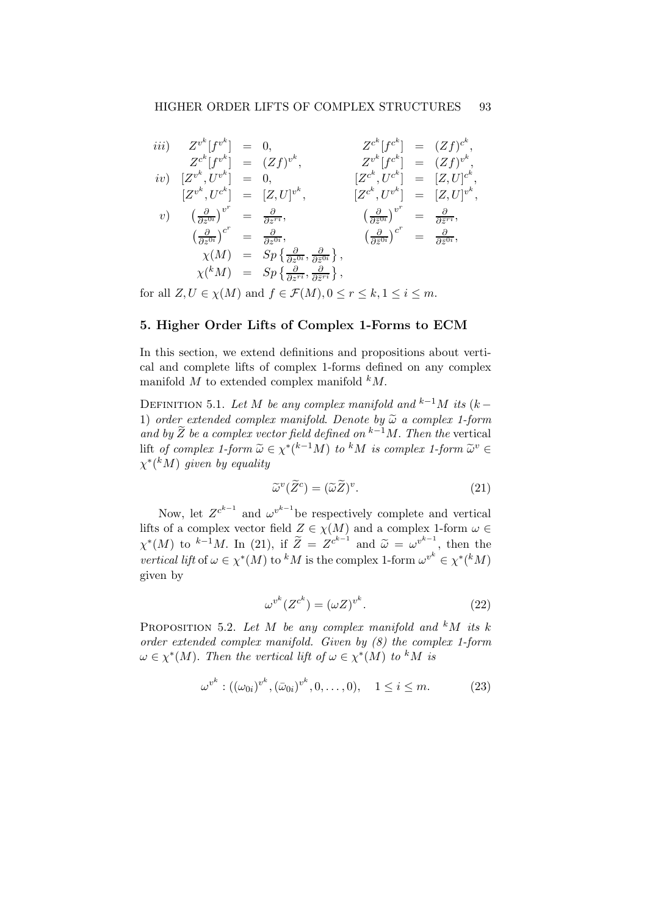$$
iii) \quad Z^{v^k}[f^{v^k}] = 0, \quad Z^{c^k}[f^{c^k}] = (Zf)^{c^k},
$$
\n
$$
iv) \quad [Z^{v^k}, U^{v^k}] = 0, \quad Z^{v^k}[f^{c^k}] = (Zf)^{v^k},
$$
\n
$$
iv) \quad [Z^{v^k}, U^{v^k}] = 0, \quad [Z^{c^k}, U^{c^k}] = [Z, U]^{c^k},
$$
\n
$$
v) \quad \left(\frac{\partial}{\partial z^{0i}}\right)^{v^r} = \frac{\partial}{\partial z^{ri}}, \quad [Z^{c^k}, U^{v^k}] = [Z, U]^{v^k},
$$
\n
$$
v) \quad \left(\frac{\partial}{\partial z^{0i}}\right)^{v^r} = \frac{\partial}{\partial z^{ri}}, \quad \left(\frac{\partial}{\partial \overline{z}^{0i}}\right)^{v^r} = \frac{\partial}{\partial \overline{z}^{ri}},
$$
\n
$$
\chi(M) = Sp\left\{\frac{\partial}{\partial z^{0i}}, \frac{\partial}{\partial \overline{z}^{0i}}\right\}, \quad \chi(M) = Sp\left\{\frac{\partial}{\partial z^{ri}}, \frac{\partial}{\partial \overline{z}^{ri}}\right\},
$$

for all  $Z, U \in \chi(M)$  and  $f \in \mathcal{F}(M), 0 \leq r \leq k, 1 \leq i \leq m$ .

### 5. Higher Order Lifts of Complex 1-Forms to ECM

In this section, we extend definitions and propositions about vertical and complete lifts of complex 1-forms defined on any complex manifold  $M$  to extended complex manifold  $kM$ .

DEFINITION 5.1. Let M be any complex manifold and <sup>k−1</sup>M its (k – 1) order extended complex manifold. Denote by  $\widetilde{\omega}$  a complex 1-form and by  $\widetilde{Z}$  be a complex vector field defined on  $k-1$ M. Then the vertical lift of complex 1-form  $\widetilde{\omega} \in \chi^*(k-1)$  to kM is complex 1-form  $\widetilde{\omega}^v \in$ <br> $\chi^*(k+1)$  $\chi^* ({}^k M)$  given by equality

$$
\widetilde{\omega}^v(\widetilde{Z}^c) = (\widetilde{\omega}\widetilde{Z})^v. \tag{21}
$$

Now, let  $Z^{c^{k-1}}$  and  $\omega^{v^{k-1}}$  be respectively complete and vertical lifts of a complex vector field  $Z \in \chi(M)$  and a complex 1-form  $\omega \in$  $\chi^*(M)$  to <sup>k-1</sup>M. In (21), if  $\widetilde{Z} = Z^{c^{k-1}}$  and  $\widetilde{\omega} = \omega^{v^{k-1}}$ , then the *vertical lift* of  $\omega \in \chi^*(M)$  to <sup>k</sup>M is the complex 1-form  $\omega^{v^k} \in \chi^*(kM)$ given by

$$
\omega^{v^k}(Z^{c^k}) = (\omega Z)^{v^k}.
$$
\n(22)

PROPOSITION 5.2. Let M be any complex manifold and  $kM$  its k order extended complex manifold. Given by (8) the complex 1-form  $\omega \in \chi^*(M)$ . Then the vertical lift of  $\omega \in \chi^*(M)$  to <sup>k</sup>M is

$$
\omega^{v^k} : ((\omega_{0i})^{v^k}, (\bar{\omega}_{0i})^{v^k}, 0, \dots, 0), \quad 1 \le i \le m. \tag{23}
$$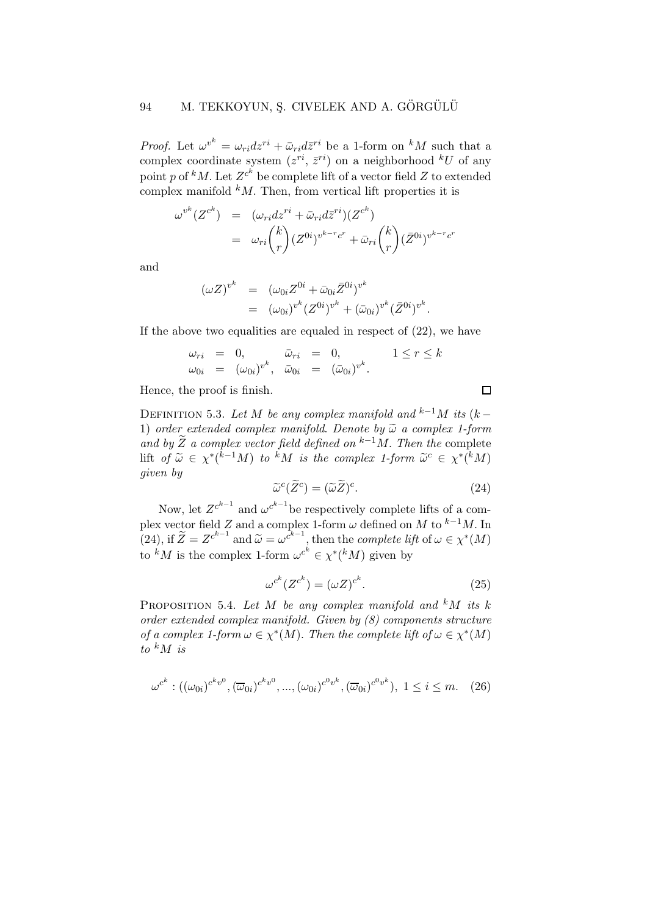## 94 M. TEKKOYUN, S. CIVELEK AND A. GÖRGÜLÜ

*Proof.* Let  $\omega^{v^k} = \omega_{ri} dz^{ri} + \bar{\omega}_{ri} d\bar{z}^{ri}$  be a 1-form on <sup>k</sup>M such that a complex coordinate system  $(z^{ri}, \bar{z}^{ri})$  on a neighborhood  $^kU$  of any point p of  $^kM$ . Let  $Z^{c^k}$  be complete lift of a vector field Z to extended complex manifold  $k$ M. Then, from vertical lift properties it is

$$
\omega^{v^k}(Z^{c^k}) = (\omega_{ri}dz^{ri} + \bar{\omega}_{ri}d\bar{z}^{ri})(Z^{c^k})
$$
  

$$
= \omega_{ri} {k \choose r} (Z^{0i})^{v^{k-r}c^r} + \bar{\omega}_{ri} {k \choose r} (\bar{Z}^{0i})^{v^{k-r}c^r}
$$

and

$$
\begin{array}{rcl}\n(\omega Z)^{v^k} & = & (\omega_{0i} Z^{0i} + \bar{\omega}_{0i} \bar{Z}^{0i})^{v^k} \\
& = & (\omega_{0i})^{v^k} (Z^{0i})^{v^k} + (\bar{\omega}_{0i})^{v^k} (\bar{Z}^{0i})^{v^k}.\n\end{array}
$$

If the above two equalities are equaled in respect of (22), we have

$$
\begin{array}{rcl}\n\omega_{ri} & = & 0, \\
\omega_{0i} & = & (\omega_{0i})^{v^k}, \quad \bar{\omega}_{0i} & = & (\bar{\omega}_{0i})^{v^k}.\n\end{array}\n\quad\n\begin{array}{rcl}\n1 \leq r \leq k \\
\end{array}
$$

Hence, the proof is finish.

DEFINITION 5.3. Let M be any complex manifold and <sup>k−1</sup>M its (k – 1) order extended complex manifold. Denote by  $\tilde{\omega}$  a complex 1-form and by  $\widetilde{Z}$  a complex vector field defined on <sup>k−1</sup>M. Then the complete lift of  $\widetilde{\omega} \in \chi^*(\widetilde{k}^{-1}M)$  to  $\widetilde{k}M$  is the complex 1-form  $\widetilde{\omega}^c \in \chi^*(\widetilde{k}M)$ given by

$$
\widetilde{\omega}^c(\widetilde{Z}^c) = (\widetilde{\omega}\widetilde{Z})^c. \tag{24}
$$

 $\Box$ 

Now, let  $Z^{c^{k-1}}$  and  $\omega^{c^{k-1}}$  be respectively complete lifts of a complex vector field Z and a complex 1-form  $\omega$  defined on M to <sup>k-1</sup>M. In (24), if  $\widetilde{Z} = Z^{c^{k-1}}$  and  $\widetilde{\omega} = \omega^{c^{k-1}}$ , then the *complete lift* of  $\omega \in \chi^*(M)$ to <sup>k</sup>M is the complex 1-form  $\omega^{c^k} \in \chi^*(kM)$  given by

$$
\omega^{c^k}(Z^{c^k}) = (\omega Z)^{c^k}.
$$
\n(25)

PROPOSITION 5.4. Let M be any complex manifold and  $kM$  its k order extended complex manifold. Given by (8) components structure of a complex 1-form  $\omega \in \chi^*(M)$ . Then the complete lift of  $\omega \in \chi^*(M)$ to  $k$  M is

$$
\omega^{c^k}: ((\omega_{0i})^{c^kv^0}, (\overline{\omega}_{0i})^{c^kv^0}, ..., (\omega_{0i})^{c^0v^k}, (\overline{\omega}_{0i})^{c^0v^k}), 1 \le i \le m. \quad (26)
$$